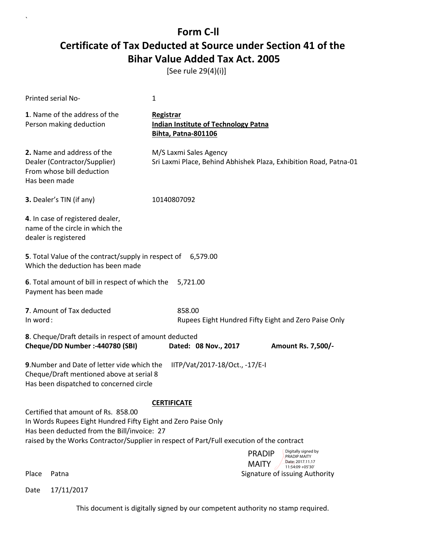[See rule 29(4)(i)]

 $\overline{\phantom{a}}$ 

| Printed serial No-                                                                                                                                  | 1                                                                                           |
|-----------------------------------------------------------------------------------------------------------------------------------------------------|---------------------------------------------------------------------------------------------|
| 1. Name of the address of the<br>Person making deduction                                                                                            | Registrar<br><b>Indian Institute of Technology Patna</b><br>Bihta, Patna-801106             |
| 2. Name and address of the<br>Dealer (Contractor/Supplier)<br>From whose bill deduction<br>Has been made                                            | M/S Laxmi Sales Agency<br>Sri Laxmi Place, Behind Abhishek Plaza, Exhibition Road, Patna-01 |
| 3. Dealer's TIN (if any)                                                                                                                            | 10140807092                                                                                 |
| 4. In case of registered dealer,<br>name of the circle in which the<br>dealer is registered                                                         |                                                                                             |
| 5. Total Value of the contract/supply in respect of 6,579.00<br>Which the deduction has been made                                                   |                                                                                             |
| 6. Total amount of bill in respect of which the<br>Payment has been made                                                                            | 5,721.00                                                                                    |
| 7. Amount of Tax deducted<br>In word:                                                                                                               | 858.00<br>Rupees Eight Hundred Fifty Eight and Zero Paise Only                              |
| 8. Cheque/Draft details in respect of amount deducted<br>Cheque/DD Number :- 440780 (SBI)                                                           | Dated: 08 Nov., 2017<br><b>Amount Rs. 7,500/-</b>                                           |
| 9. Number and Date of letter vide which the<br>Cheque/Draft mentioned above at serial 8<br>Has been dispatched to concerned circle                  | IITP/Vat/2017-18/Oct., -17/E-I                                                              |
|                                                                                                                                                     | <b>CERTIFICATE</b>                                                                          |
| Certified that amount of Rs. 858.00<br>In Words Rupees Eight Hundred Fifty Eight and Zero Paise Only<br>Has been deducted from the Bill/invoice: 27 | raised by the Works Contractor/Supplier in respect of Part/Full execution of the contract   |
|                                                                                                                                                     | Digitally signed by<br><b>PRADIP</b><br>PRADIP MAITY                                        |
|                                                                                                                                                     | Date: 2017.11.17<br><b>MAITY</b><br>11:54:09 + 05'30'                                       |
| Place<br>Patna                                                                                                                                      | Signature of issuing Authority                                                              |
| 17/11/2017<br>Date                                                                                                                                  |                                                                                             |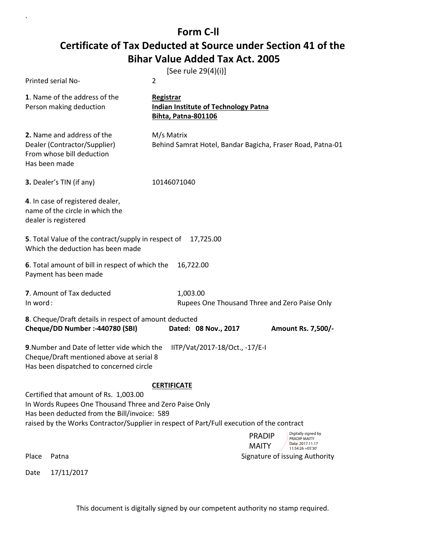$\ddot{\phantom{0}}$ 

|          |                                                                                                                                                 | [See rule 29(4)(i)]                                                                                                                                                                                         |
|----------|-------------------------------------------------------------------------------------------------------------------------------------------------|-------------------------------------------------------------------------------------------------------------------------------------------------------------------------------------------------------------|
|          | Printed serial No-                                                                                                                              | $\overline{2}$                                                                                                                                                                                              |
|          | 1. Name of the address of the<br>Person making deduction                                                                                        | <b>Registrar</b><br><b>Indian Institute of Technology Patna</b><br><b>Bihta, Patna-801106</b>                                                                                                               |
|          | 2. Name and address of the<br>Dealer (Contractor/Supplier)<br>From whose bill deduction<br>Has been made                                        | M/s Matrix<br>Behind Samrat Hotel, Bandar Bagicha, Fraser Road, Patna-01                                                                                                                                    |
|          | 3. Dealer's TIN (if any)                                                                                                                        | 10146071040                                                                                                                                                                                                 |
|          | 4. In case of registered dealer,<br>name of the circle in which the<br>dealer is registered                                                     |                                                                                                                                                                                                             |
|          | 5. Total Value of the contract/supply in respect of<br>Which the deduction has been made                                                        | 17,725.00                                                                                                                                                                                                   |
|          | 6. Total amount of bill in respect of which the<br>Payment has been made                                                                        | 16,722.00                                                                                                                                                                                                   |
| In word: | 7. Amount of Tax deducted                                                                                                                       | 1,003.00<br>Rupees One Thousand Three and Zero Paise Only                                                                                                                                                   |
|          | 8. Cheque/Draft details in respect of amount deducted<br>Cheque/DD Number :- 440780 (SBI)                                                       | Dated: 08 Nov., 2017<br><b>Amount Rs. 7,500/-</b>                                                                                                                                                           |
|          | 9. Number and Date of letter vide which the<br>Cheque/Draft mentioned above at serial 8<br>Has been dispatched to concerned circle              | IITP/Vat/2017-18/Oct., -17/E-I                                                                                                                                                                              |
|          | Certified that amount of Rs. 1,003.00<br>In Words Rupees One Thousand Three and Zero Paise Only<br>Has been deducted from the Bill/invoice: 589 | <b>CERTIFICATE</b><br>raised by the Works Contractor/Supplier in respect of Part/Full execution of the contract<br>Digitally signed by<br><b>PRADIP</b><br>PRADIP MAITY<br>Date: 2017.11.17<br><b>MAITY</b> |
| Place    | Patna                                                                                                                                           | 11:54:26 +05'30'<br>Signature of issuing Authority                                                                                                                                                          |
| Date     | 17/11/2017                                                                                                                                      |                                                                                                                                                                                                             |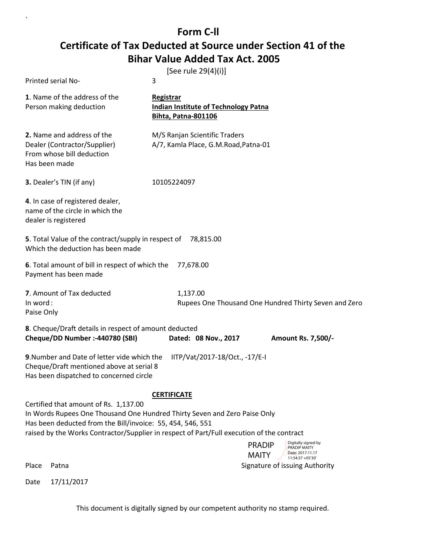`

|                                                                                                                                                                                                                                                                                                                     | [See rule 29(4)(i)]                                                                    |  |
|---------------------------------------------------------------------------------------------------------------------------------------------------------------------------------------------------------------------------------------------------------------------------------------------------------------------|----------------------------------------------------------------------------------------|--|
| Printed serial No-                                                                                                                                                                                                                                                                                                  | 3                                                                                      |  |
| 1. Name of the address of the<br>Person making deduction                                                                                                                                                                                                                                                            | Registrar<br><b>Indian Institute of Technology Patna</b><br><b>Bihta, Patna-801106</b> |  |
| 2. Name and address of the<br>Dealer (Contractor/Supplier)<br>From whose bill deduction<br>Has been made                                                                                                                                                                                                            | M/S Ranjan Scientific Traders<br>A/7, Kamla Place, G.M.Road, Patna-01                  |  |
| 3. Dealer's TIN (if any)                                                                                                                                                                                                                                                                                            | 10105224097                                                                            |  |
| 4. In case of registered dealer,<br>name of the circle in which the<br>dealer is registered                                                                                                                                                                                                                         |                                                                                        |  |
| 5. Total Value of the contract/supply in respect of<br>78,815.00<br>Which the deduction has been made                                                                                                                                                                                                               |                                                                                        |  |
| 6. Total amount of bill in respect of which the<br>Payment has been made                                                                                                                                                                                                                                            | 77,678.00                                                                              |  |
| 7. Amount of Tax deducted<br>In word:<br>Paise Only                                                                                                                                                                                                                                                                 | 1,137.00<br>Rupees One Thousand One Hundred Thirty Seven and Zero                      |  |
| 8. Cheque/Draft details in respect of amount deducted<br>Cheque/DD Number :- 440780 (SBI)                                                                                                                                                                                                                           | Dated: 08 Nov., 2017<br><b>Amount Rs. 7,500/-</b>                                      |  |
| 9. Number and Date of letter vide which the<br>Cheque/Draft mentioned above at serial 8<br>Has been dispatched to concerned circle                                                                                                                                                                                  | IITP/Vat/2017-18/Oct., -17/E-I                                                         |  |
| CERTIFICATE<br>Certified that amount of Rs. 1,137.00<br>In Words Rupees One Thousand One Hundred Thirty Seven and Zero Paise Only<br>Has been deducted from the Bill/invoice: 55, 454, 546, 551<br>raised by the Works Contractor/Supplier in respect of Part/Full execution of the contract<br>Digitally signed by |                                                                                        |  |
|                                                                                                                                                                                                                                                                                                                     | <b>PRADIP</b><br>PRADIP MAITY<br>Date: 2017.11.17<br><b>MAITY</b><br>11:54:37 +05'30'  |  |
| Place<br>Patna                                                                                                                                                                                                                                                                                                      | Signature of issuing Authority                                                         |  |
| 17/11/2017<br>Date                                                                                                                                                                                                                                                                                                  |                                                                                        |  |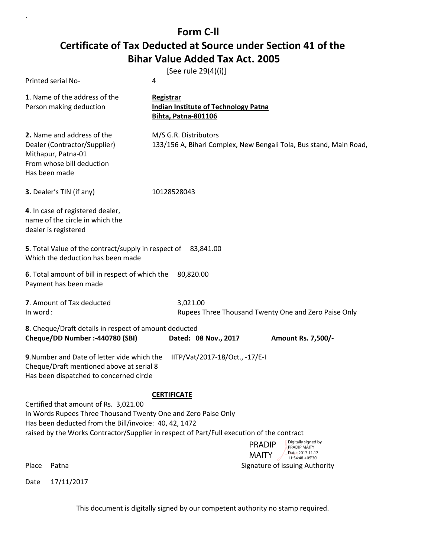`

| Printed serial No-                                                                                                                                              | [See rule 29(4)(i)]<br>4                                                                                                                                                                                    |
|-----------------------------------------------------------------------------------------------------------------------------------------------------------------|-------------------------------------------------------------------------------------------------------------------------------------------------------------------------------------------------------------|
| 1. Name of the address of the<br>Person making deduction                                                                                                        | Registrar<br><b>Indian Institute of Technology Patna</b><br>Bihta, Patna-801106                                                                                                                             |
| 2. Name and address of the<br>Dealer (Contractor/Supplier)<br>Mithapur, Patna-01<br>From whose bill deduction<br>Has been made                                  | M/S G.R. Distributors<br>133/156 A, Bihari Complex, New Bengali Tola, Bus stand, Main Road,                                                                                                                 |
| 3. Dealer's TIN (if any)                                                                                                                                        | 10128528043                                                                                                                                                                                                 |
| 4. In case of registered dealer,<br>name of the circle in which the<br>dealer is registered                                                                     |                                                                                                                                                                                                             |
| 5. Total Value of the contract/supply in respect of 83,841.00<br>Which the deduction has been made                                                              |                                                                                                                                                                                                             |
| 6. Total amount of bill in respect of which the<br>Payment has been made                                                                                        | 80,820.00                                                                                                                                                                                                   |
| 7. Amount of Tax deducted<br>In word:                                                                                                                           | 3,021.00<br>Rupees Three Thousand Twenty One and Zero Paise Only                                                                                                                                            |
| 8. Cheque/Draft details in respect of amount deducted<br>Cheque/DD Number :-440780 (SBI)                                                                        | Dated: 08 Nov., 2017<br><b>Amount Rs. 7,500/-</b>                                                                                                                                                           |
| 9. Number and Date of letter vide which the<br>Cheque/Draft mentioned above at serial 8<br>Has been dispatched to concerned circle                              | IITP/Vat/2017-18/Oct., -17/E-I                                                                                                                                                                              |
| Certified that amount of Rs. 3,021.00<br>In Words Rupees Three Thousand Twenty One and Zero Paise Only<br>Has been deducted from the Bill/invoice: 40, 42, 1472 | <b>CERTIFICATE</b><br>raised by the Works Contractor/Supplier in respect of Part/Full execution of the contract<br>Digitally signed by<br><b>PRADIP</b><br>PRADIP MAITY<br>Date: 2017.11.17<br><b>MAITY</b> |
| Place<br>Patna                                                                                                                                                  | 11:54:48 +05'30'<br>Signature of issuing Authority                                                                                                                                                          |
| 17/11/2017<br>Date                                                                                                                                              |                                                                                                                                                                                                             |